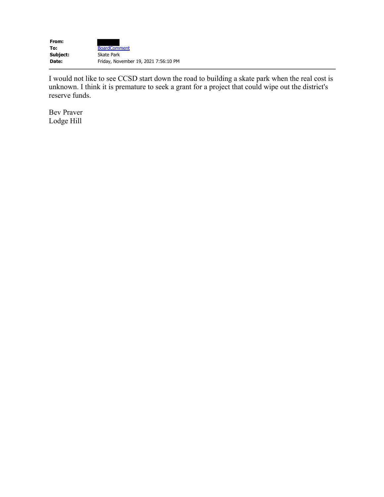| From:    |                                      |
|----------|--------------------------------------|
| To:      | <b>BoardComment</b>                  |
| Subject: | <b>Skate Park</b>                    |
| Date:    | Friday, November 19, 2021 7:56:10 PM |

I would not like to see CCSD start down the road to building a skate park when the real cost is unknown. I think it is premature to seek a grant for a project that could wipe out the district's reserve funds.

Bev Praver Lodge Hill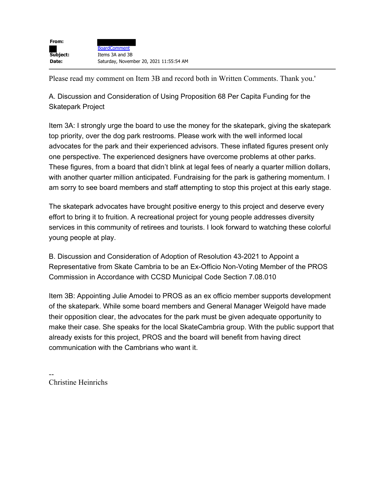| From:    |                                         |
|----------|-----------------------------------------|
|          | <b>BoardComment</b>                     |
| Subject: | Items 3A and 3B                         |
| Date:    | Saturday, November 20, 2021 11:55:54 AM |

Please read my comment on Item 3B and record both in Written Comments. Thank you.'

A. Discussion and Consideration of Using Proposition 68 Per Capita Funding for the Skatepark Project

Item 3A: I strongly urge the board to use the money for the skatepark, giving the skatepark top priority, over the dog park restrooms. Please work with the well informed local advocates for the park and their experienced advisors. These inflated figures present only one perspective. The experienced designers have overcome problems at other parks. These figures, from a board that didn't blink at legal fees of nearly a quarter million dollars, with another quarter million anticipated. Fundraising for the park is gathering momentum. I am sorry to see board members and staff attempting to stop this project at this early stage.

The skatepark advocates have brought positive energy to this project and deserve every effort to bring it to fruition. A recreational project for young people addresses diversity services in this community of retirees and tourists. I look forward to watching these colorful young people at play.

B. Discussion and Consideration of Adoption of Resolution 43-2021 to Appoint a Representative from Skate Cambria to be an Ex-Officio Non-Voting Member of the PROS Commission in Accordance with CCSD Municipal Code Section 7.08.010

Item 3B: Appointing Julie Amodei to PROS as an ex officio member supports development of the skatepark. While some board members and General Manager Weigold have made their opposition clear, the advocates for the park must be given adequate opportunity to make their case. She speaks for the local SkateCambria group. With the public support that already exists for this project, PROS and the board will benefit from having direct communication with the Cambrians who want it.

-- Christine Heinrichs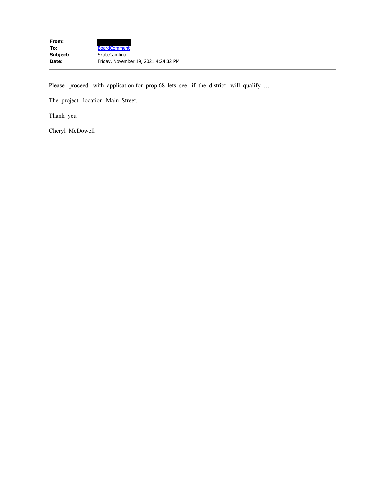Please proceed with application for prop 68 lets see if the district will qualify ...

The project location Main Street.

Thank you

Cheryl McDowell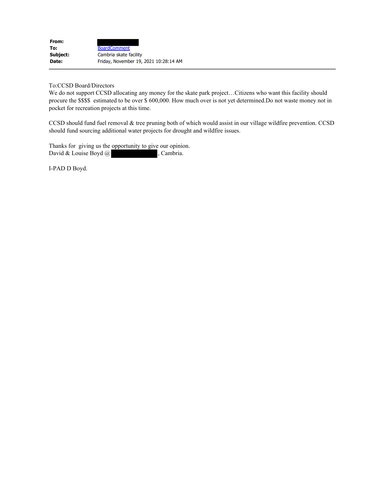| From:    |                                       |
|----------|---------------------------------------|
| To:      | <b>BoardComment</b>                   |
| Subject: | Cambria skate facility                |
| Date:    | Friday, November 19, 2021 10:28:14 AM |

## To:CCSD Board/Directors

We do not support CCSD allocating any money for the skate park project…Citizens who want this facility should procure the \$\$\$\$ estimated to be over \$ 600,000. How much over is not yet determined.Do not waste money not in pocket for recreation projects at this time.

CCSD should fund fuel removal & tree pruning both of which would assist in our village wildfire prevention. CCSD should fund sourcing additional water projects for drought and wildfire issues.

Thanks for giving us the opportunity to give our opinion. David & Louise Boyd @ , Cambria.

I-PAD D Boyd.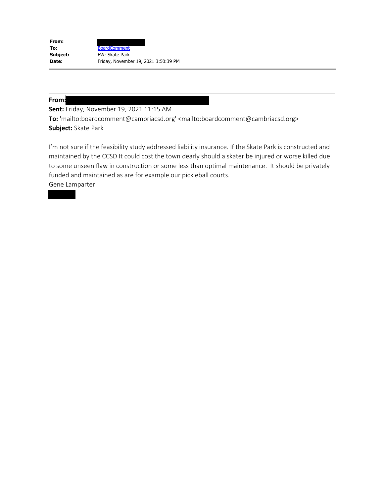| From:    |                                      |
|----------|--------------------------------------|
| To:      | <b>BoardComment</b>                  |
| Subject: | <b>FW: Skate Park</b>                |
| Date:    | Friday, November 19, 2021 3:50:39 PM |

## **From:**

**Sent:** Friday, November 19, 2021 11:15 AM

**To:** 'mailto:boardcomment@cambriacsd.org' <mailto:boardcomment@cambriacsd.org> **Subject:** Skate Park

I'm not sure if the feasibility study addressed liability insurance. If the Skate Park is constructed and maintained by the CCSD It could cost the town dearly should a skater be injured or worse killed due to some unseen flaw in construction or some less than optimal maintenance. It should be privately funded and maintained as are for example our pickleball courts.

Gene Lamparter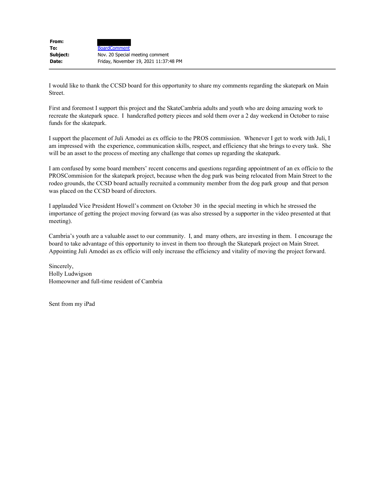| From:    |                                       |
|----------|---------------------------------------|
| To:      | <b>BoardComment</b>                   |
| Subject: | Nov. 20 Special meeting comment       |
| Date:    | Friday, November 19, 2021 11:37:48 PM |

I would like to thank the CCSD board for this opportunity to share my comments regarding the skatepark on Main Street.

First and foremost I support this project and the SkateCambria adults and youth who are doing amazing work to recreate the skatepark space. I handcrafted pottery pieces and sold them over a 2 day weekend in October to raise funds for the skatepark.

I support the placement of Juli Amodei as ex officio to the PROS commission. Whenever I get to work with Juli, I am impressed with the experience, communication skills, respect, and efficiency that she brings to every task. She will be an asset to the process of meeting any challenge that comes up regarding the skatepark.

I am confused by some board members' recent concerns and questions regarding appointment of an ex officio to the PROSCommision for the skatepark project, because when the dog park was being relocated from Main Street to the rodeo grounds, the CCSD board actually recruited a community member from the dog park group and that person was placed on the CCSD board of directors.

I applauded Vice President Howell's comment on October 30 in the special meeting in which he stressed the importance of getting the project moving forward (as was also stressed by a supporter in the video presented at that meeting).

Cambria's youth are a valuable asset to our community. I, and many others, are investing in them. I encourage the board to take advantage of this opportunity to invest in them too through the Skatepark project on Main Street. Appointing Juli Amodei as ex officio will only increase the efficiency and vitality of moving the project forward.

Sincerely, Holly Ludwigson Homeowner and full-time resident of Cambria

Sent from my iPad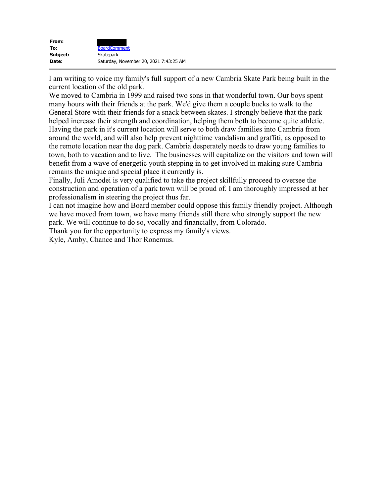| From:    |                                        |
|----------|----------------------------------------|
| To:      | <b>BoardComment</b>                    |
| Subject: | Skatepark                              |
| Date:    | Saturday, November 20, 2021 7:43:25 AM |

I am writing to voice my family's full support of a new Cambria Skate Park being built in the current location of the old park.

We moved to Cambria in 1999 and raised two sons in that wonderful town. Our boys spent many hours with their friends at the park. We'd give them a couple bucks to walk to the General Store with their friends for a snack between skates. I strongly believe that the park helped increase their strength and coordination, helping them both to become quite athletic. Having the park in it's current location will serve to both draw families into Cambria from around the world, and will also help prevent nighttime vandalism and graffiti, as opposed to the remote location near the dog park. Cambria desperately needs to draw young families to town, both to vacation and to live. The businesses will capitalize on the visitors and town will benefit from a wave of energetic youth stepping in to get involved in making sure Cambria remains the unique and special place it currently is.

Finally, Juli Amodei is very qualified to take the project skillfully proceed to oversee the construction and operation of a park town will be proud of. I am thoroughly impressed at her professionalism in steering the project thus far.

I can not imagine how and Board member could oppose this family friendly project. Although we have moved from town, we have many friends still there who strongly support the new park. We will continue to do so, vocally and financially, from Colorado.

Thank you for the opportunity to express my family's views.

Kyle, Amby, Chance and Thor Ronemus.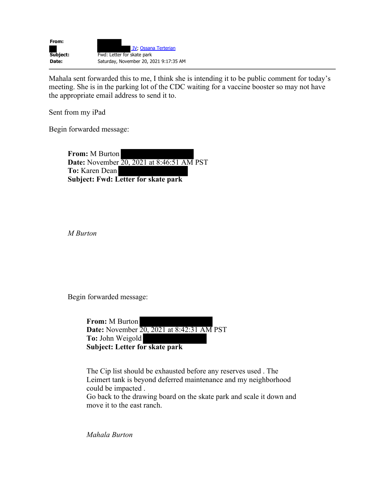

Mahala sent forwarded this to me, I think she is intending it to be public comment for today's meeting. She is in the parking lot of the CDC waiting for a vaccine booster so may not have the appropriate email address to send it to.

Sent from my iPad

Begin forwarded message:

**From:** M Burton **Date:** November 20, 2021 at 8:46:51 AM PST **To:** Karen Dean **Subject: Fwd: Letter for skate park**

*M Burton*

Begin forwarded message:

**From:** M Burton **Date:** November 20, 2021 at 8:42:31 AM PST **To:** John Weigold **Subject: Letter for skate park**

The Cip list should be exhausted before any reserves used . The Leimert tank is beyond deferred maintenance and my neighborhood could be impacted .

Go back to the drawing board on the skate park and scale it down and move it to the east ranch.

*Mahala Burton*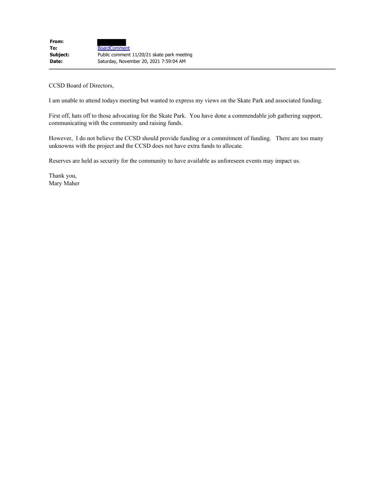CCSD Board of Directors,

I am unable to attend todays meeting but wanted to express my views on the Skate Park and associated funding.

First off, hats off to those advocating for the Skate Park. You have done a commendable job gathering support, communicating with the community and raising funds.

However, I do not believe the CCSD should provide funding or a commitment of funding. There are too many unknowns with the project and the CCSD does not have extra funds to allocate.

Reserves are held as security for the community to have available as unforeseen events may impact us.

Thank you, Mary Maher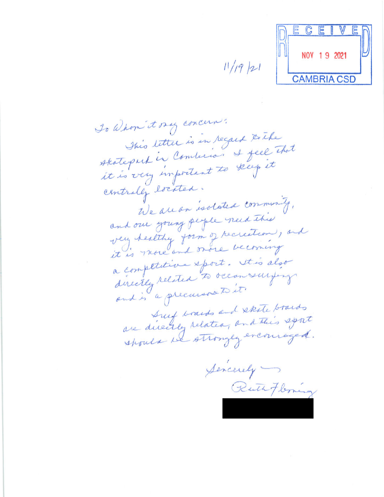

 $11/19/21$ 

To Whom it say concern: This letter is in regard to the skateput in Combina. I feel that it is very important to keep it centraly located. We all an isolated community. and our young people need this very healthy form of recreation, and a completitive sport. It is also directly related to occan surfing and is a precursos to it Surf boards and skate boards are directly related, and this sport should be strongly every expose.

Sencerely -Ruth Fleming